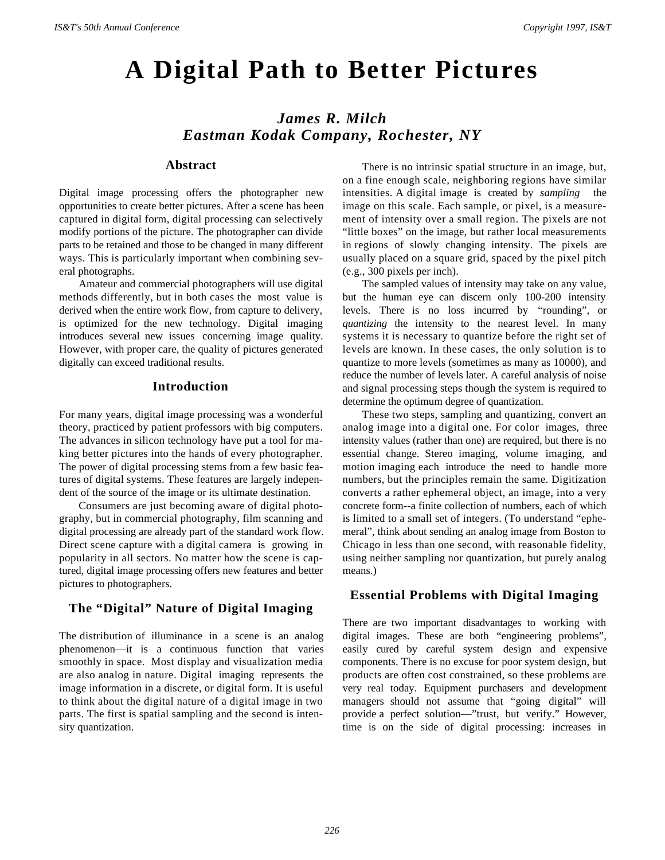# **A Digital Path to Better Pictures**

# *James R. Milch Eastman Kodak Company, Rochester, NY*

#### **Abstract**

Digital image processing offers the photographer new opportunities to create better pictures. After a scene has been captured in digital form, digital processing can selectively modify portions of the picture. The photographer can divide parts to be retained and those to be changed in many different ways. This is particularly important when combining several photographs.

Amateur and commercial photographers will use digital methods differently, but in both cases the most value is derived when the entire work flow, from capture to delivery, is optimized for the new technology. Digital imaging introduces several new issues concerning image quality. However, with proper care, the quality of pictures generated digitally can exceed traditional results.

#### **Introduction**

For many years, digital image processing was a wonderful theory, practiced by patient professors with big computers. The advances in silicon technology have put a tool for making better pictures into the hands of every photographer. The power of digital processing stems from a few basic features of digital systems. These features are largely independent of the source of the image or its ultimate destination.

Consumers are just becoming aware of digital photography, but in commercial photography, film scanning and digital processing are already part of the standard work flow. Direct scene capture with a digital camera is growing in popularity in all sectors. No matter how the scene is captured, digital image processing offers new features and better pictures to photographers.

# **The "Digital" Nature of Digital Imaging**

The distribution of illuminance in a scene is an analog phenomenon—it is a continuous function that varies smoothly in space. Most display and visualization media are also analog in nature. Digital imaging represents the image information in a discrete, or digital form. It is useful to think about the digital nature of a digital image in two parts. The first is spatial sampling and the second is intensity quantization.

There is no intrinsic spatial structure in an image, but, on a fine enough scale, neighboring regions have similar intensities. A digital image is created by *sampling* the image on this scale. Each sample, or pixel, is a measurement of intensity over a small region. The pixels are not "little boxes" on the image, but rather local measurements in regions of slowly changing intensity. The pixels are usually placed on a square grid, spaced by the pixel pitch (e.g., 300 pixels per inch).

The sampled values of intensity may take on any value, but the human eye can discern only 100-200 intensity levels. There is no loss incurred by "rounding", or *quantizing* the intensity to the nearest level. In many systems it is necessary to quantize before the right set of levels are known. In these cases, the only solution is to quantize to more levels (sometimes as many as 10000), and reduce the number of levels later. A careful analysis of noise and signal processing steps though the system is required to determine the optimum degree of quantization.

These two steps, sampling and quantizing, convert an analog image into a digital one. For color images, three intensity values (rather than one) are required, but there is no essential change. Stereo imaging, volume imaging, and motion imaging each introduce the need to handle more numbers, but the principles remain the same. Digitization converts a rather ephemeral object, an image, into a very concrete form--a finite collection of numbers, each of which is limited to a small set of integers. (To understand "ephemeral", think about sending an analog image from Boston to Chicago in less than one second, with reasonable fidelity, using neither sampling nor quantization, but purely analog means.)

### **Essential Problems with Digital Imaging**

There are two important disadvantages to working with digital images. These are both "engineering problems", easily cured by careful system design and expensive components. There is no excuse for poor system design, but products are often cost constrained, so these problems are very real today. Equipment purchasers and development managers should not assume that "going digital" will provide a perfect solution—"trust, but verify." However, time is on the side of digital processing: increases in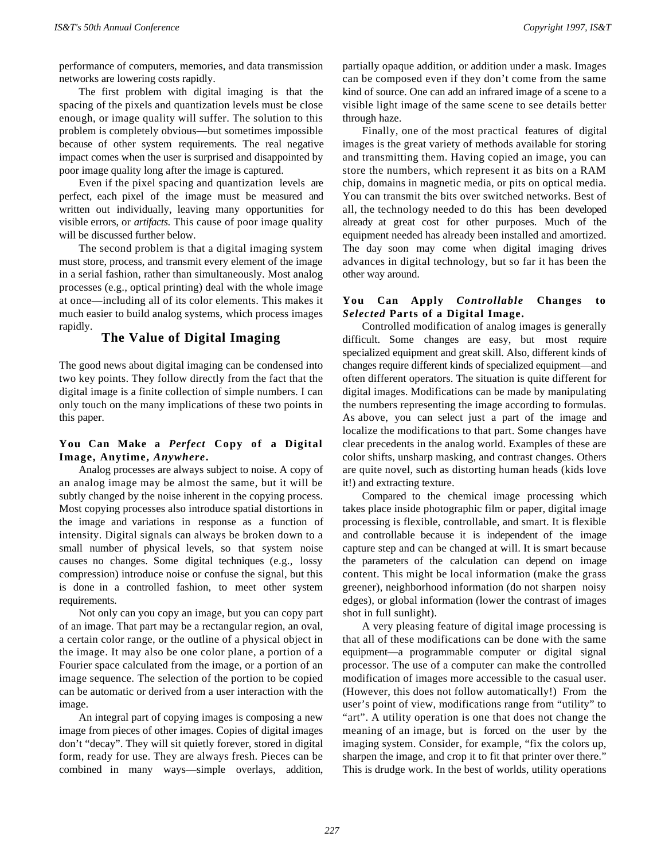performance of computers, memories, and data transmission networks are lowering costs rapidly.

The first problem with digital imaging is that the spacing of the pixels and quantization levels must be close enough, or image quality will suffer. The solution to this problem is completely obvious—but sometimes impossible because of other system requirements. The real negative impact comes when the user is surprised and disappointed by poor image quality long after the image is captured.

Even if the pixel spacing and quantization levels are perfect, each pixel of the image must be measured and written out individually, leaving many opportunities for visible errors, or *artifacts*. This cause of poor image quality will be discussed further below.

The second problem is that a digital imaging system must store, process, and transmit every element of the image in a serial fashion, rather than simultaneously. Most analog processes (e.g., optical printing) deal with the whole image at once—including all of its color elements. This makes it much easier to build analog systems, which process images rapidly.

# **The Value of Digital Imaging**

The good news about digital imaging can be condensed into two key points. They follow directly from the fact that the digital image is a finite collection of simple numbers. I can only touch on the many implications of these two points in this paper.

#### **You Can Make a** *Perfect* **Copy of a Digital Image, Anytime,** *Anywhere***.**

Analog processes are always subject to noise. A copy of an analog image may be almost the same, but it will be subtly changed by the noise inherent in the copying process. Most copying processes also introduce spatial distortions in the image and variations in response as a function of intensity. Digital signals can always be broken down to a small number of physical levels, so that system noise causes no changes. Some digital techniques (e.g., lossy compression) introduce noise or confuse the signal, but this is done in a controlled fashion, to meet other system requirements.

Not only can you copy an image, but you can copy part of an image. That part may be a rectangular region, an oval, a certain color range, or the outline of a physical object in the image. It may also be one color plane, a portion of a Fourier space calculated from the image, or a portion of an image sequence. The selection of the portion to be copied can be automatic or derived from a user interaction with the image.

An integral part of copying images is composing a new image from pieces of other images. Copies of digital images don't "decay". They will sit quietly forever, stored in digital form, ready for use. They are always fresh. Pieces can be combined in many ways—simple overlays, addition, partially opaque addition, or addition under a mask. Images can be composed even if they don't come from the same kind of source. One can add an infrared image of a scene to a visible light image of the same scene to see details better through haze.

Finally, one of the most practical features of digital images is the great variety of methods available for storing and transmitting them. Having copied an image, you can store the numbers, which represent it as bits on a RAM chip, domains in magnetic media, or pits on optical media. You can transmit the bits over switched networks. Best of all, the technology needed to do this has been developed already at great cost for other purposes. Much of the equipment needed has already been installed and amortized. The day soon may come when digital imaging drives advances in digital technology, but so far it has been the other way around.

#### **You Can Apply** *Controllable* **Changes to** *Selected* **Parts of a Digital Image.**

Controlled modification of analog images is generally difficult. Some changes are easy, but most require specialized equipment and great skill. Also, different kinds of changes require different kinds of specialized equipment—and often different operators. The situation is quite different for digital images. Modifications can be made by manipulating the numbers representing the image according to formulas. As above, you can select just a part of the image and localize the modifications to that part. Some changes have clear precedents in the analog world. Examples of these are color shifts, unsharp masking, and contrast changes. Others are quite novel, such as distorting human heads (kids love it!) and extracting texture.

Compared to the chemical image processing which takes place inside photographic film or paper, digital image processing is flexible, controllable, and smart. It is flexible and controllable because it is independent of the image capture step and can be changed at will. It is smart because the parameters of the calculation can depend on image content. This might be local information (make the grass greener), neighborhood information (do not sharpen noisy edges), or global information (lower the contrast of images shot in full sunlight).

A very pleasing feature of digital image processing is that all of these modifications can be done with the same equipment—a programmable computer or digital signal processor. The use of a computer can make the controlled modification of images more accessible to the casual user. (However, this does not follow automatically!) From the user's point of view, modifications range from "utility" to "art". A utility operation is one that does not change the meaning of an image, but is forced on the user by the imaging system. Consider, for example, "fix the colors up, sharpen the image, and crop it to fit that printer over there." This is drudge work. In the best of worlds, utility operations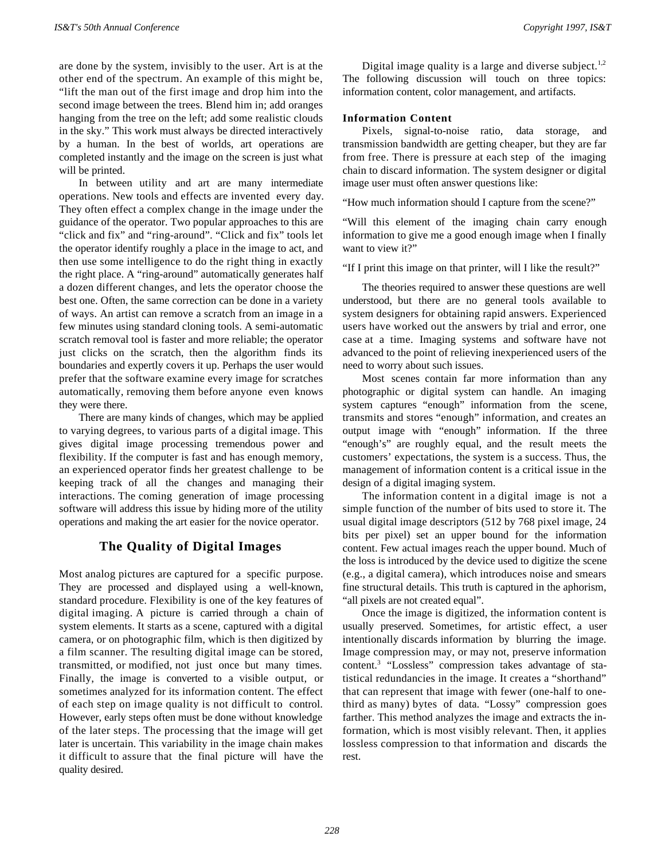are done by the system, invisibly to the user. Art is at the other end of the spectrum. An example of this might be, "lift the man out of the first image and drop him into the second image between the trees. Blend him in; add oranges hanging from the tree on the left; add some realistic clouds in the sky." This work must always be directed interactively by a human. In the best of worlds, art operations are completed instantly and the image on the screen is just what will be printed.

In between utility and art are many intermediate operations. New tools and effects are invented every day. They often effect a complex change in the image under the guidance of the operator. Two popular approaches to this are "click and fix" and "ring-around". "Click and fix" tools let the operator identify roughly a place in the image to act, and then use some intelligence to do the right thing in exactly the right place. A "ring-around" automatically generates half a dozen different changes, and lets the operator choose the best one. Often, the same correction can be done in a variety of ways. An artist can remove a scratch from an image in a few minutes using standard cloning tools. A semi-automatic scratch removal tool is faster and more reliable; the operator just clicks on the scratch, then the algorithm finds its boundaries and expertly covers it up. Perhaps the user would prefer that the software examine every image for scratches automatically, removing them before anyone even knows they were there.

There are many kinds of changes, which may be applied to varying degrees, to various parts of a digital image. This gives digital image processing tremendous power and flexibility. If the computer is fast and has enough memory, an experienced operator finds her greatest challenge to be keeping track of all the changes and managing their interactions. The coming generation of image processing software will address this issue by hiding more of the utility operations and making the art easier for the novice operator.

# **The Quality of Digital Images**

Most analog pictures are captured for a specific purpose. They are processed and displayed using a well-known, standard procedure. Flexibility is one of the key features of digital imaging. A picture is carried through a chain of system elements. It starts as a scene, captured with a digital camera, or on photographic film, which is then digitized by a film scanner. The resulting digital image can be stored, transmitted, or modified, not just once but many times. Finally, the image is converted to a visible output, or sometimes analyzed for its information content. The effect of each step on image quality is not difficult to control. However, early steps often must be done without knowledge of the later steps. The processing that the image will get later is uncertain. This variability in the image chain makes it difficult to assure that the final picture will have the quality desired.

Digital image quality is a large and diverse subject.<sup>1,2</sup> The following discussion will touch on three topics: information content, color management, and artifacts.

#### **Information Content**

Pixels, signal-to-noise ratio, data storage, and transmission bandwidth are getting cheaper, but they are far from free. There is pressure at each step of the imaging chain to discard information. The system designer or digital image user must often answer questions like:

"How much information should I capture from the scene?"

"Will this element of the imaging chain carry enough information to give me a good enough image when I finally want to view it?"

"If I print this image on that printer, will I like the result?"

The theories required to answer these questions are well understood, but there are no general tools available to system designers for obtaining rapid answers. Experienced users have worked out the answers by trial and error, one case at a time. Imaging systems and software have not advanced to the point of relieving inexperienced users of the need to worry about such issues.

Most scenes contain far more information than any photographic or digital system can handle. An imaging system captures "enough" information from the scene, transmits and stores "enough" information, and creates an output image with "enough" information. If the three "enough's" are roughly equal, and the result meets the customers' expectations, the system is a success. Thus, the management of information content is a critical issue in the design of a digital imaging system.

The information content in a digital image is not a simple function of the number of bits used to store it. The usual digital image descriptors (512 by 768 pixel image, 24 bits per pixel) set an upper bound for the information content. Few actual images reach the upper bound. Much of the loss is introduced by the device used to digitize the scene (e.g., a digital camera), which introduces noise and smears fine structural details. This truth is captured in the aphorism, "all pixels are not created equal".

Once the image is digitized, the information content is usually preserved. Sometimes, for artistic effect, a user intentionally discards information by blurring the image. Image compression may, or may not, preserve information content.<sup>3</sup> "Lossless" compression takes advantage of statistical redundancies in the image. It creates a "shorthand" that can represent that image with fewer (one-half to onethird as many) bytes of data. "Lossy" compression goes farther. This method analyzes the image and extracts the information, which is most visibly relevant. Then, it applies lossless compression to that information and discards the rest.